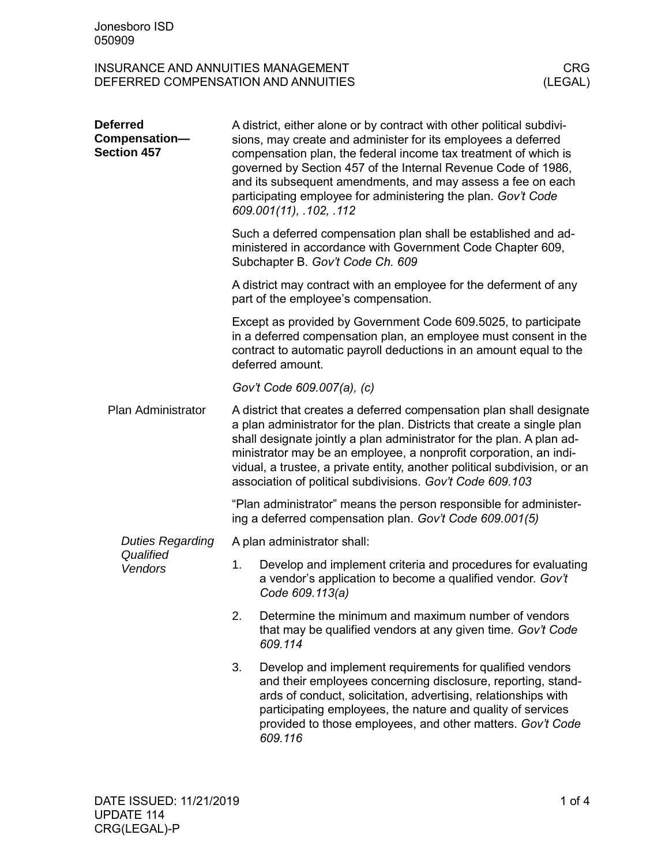| <b>Deferred</b><br>Compensation-<br><b>Section 457</b> | A district, either alone or by contract with other political subdivi-<br>sions, may create and administer for its employees a deferred<br>compensation plan, the federal income tax treatment of which is<br>governed by Section 457 of the Internal Revenue Code of 1986,<br>and its subsequent amendments, and may assess a fee on each<br>participating employee for administering the plan. Gov't Code<br>609.001(11), .102, .112  |                                                                                                                                                                                                                                                                                                                                    |  |  |  |
|--------------------------------------------------------|----------------------------------------------------------------------------------------------------------------------------------------------------------------------------------------------------------------------------------------------------------------------------------------------------------------------------------------------------------------------------------------------------------------------------------------|------------------------------------------------------------------------------------------------------------------------------------------------------------------------------------------------------------------------------------------------------------------------------------------------------------------------------------|--|--|--|
|                                                        |                                                                                                                                                                                                                                                                                                                                                                                                                                        | Such a deferred compensation plan shall be established and ad-<br>ministered in accordance with Government Code Chapter 609,<br>Subchapter B. Gov't Code Ch. 609                                                                                                                                                                   |  |  |  |
|                                                        | A district may contract with an employee for the deferment of any<br>part of the employee's compensation.                                                                                                                                                                                                                                                                                                                              |                                                                                                                                                                                                                                                                                                                                    |  |  |  |
|                                                        | Except as provided by Government Code 609.5025, to participate<br>in a deferred compensation plan, an employee must consent in the<br>contract to automatic payroll deductions in an amount equal to the<br>deferred amount.                                                                                                                                                                                                           |                                                                                                                                                                                                                                                                                                                                    |  |  |  |
|                                                        | Gov't Code 609.007(a), (c)                                                                                                                                                                                                                                                                                                                                                                                                             |                                                                                                                                                                                                                                                                                                                                    |  |  |  |
| Plan Administrator                                     | A district that creates a deferred compensation plan shall designate<br>a plan administrator for the plan. Districts that create a single plan<br>shall designate jointly a plan administrator for the plan. A plan ad-<br>ministrator may be an employee, a nonprofit corporation, an indi-<br>vidual, a trustee, a private entity, another political subdivision, or an<br>association of political subdivisions. Gov't Code 609.103 |                                                                                                                                                                                                                                                                                                                                    |  |  |  |
|                                                        | "Plan administrator" means the person responsible for administer-<br>ing a deferred compensation plan. Gov't Code 609.001(5)                                                                                                                                                                                                                                                                                                           |                                                                                                                                                                                                                                                                                                                                    |  |  |  |
| <b>Duties Regarding</b>                                |                                                                                                                                                                                                                                                                                                                                                                                                                                        | A plan administrator shall:                                                                                                                                                                                                                                                                                                        |  |  |  |
| Qualified<br>Vendors                                   | 1.                                                                                                                                                                                                                                                                                                                                                                                                                                     | Develop and implement criteria and procedures for evaluating<br>a vendor's application to become a qualified vendor. Gov't<br>Code 609.113(a)                                                                                                                                                                                      |  |  |  |
|                                                        | 2.                                                                                                                                                                                                                                                                                                                                                                                                                                     | Determine the minimum and maximum number of vendors<br>that may be qualified vendors at any given time. Gov't Code<br>609.114                                                                                                                                                                                                      |  |  |  |
|                                                        | 3.                                                                                                                                                                                                                                                                                                                                                                                                                                     | Develop and implement requirements for qualified vendors<br>and their employees concerning disclosure, reporting, stand-<br>ards of conduct, solicitation, advertising, relationships with<br>participating employees, the nature and quality of services<br>provided to those employees, and other matters. Gov't Code<br>609.116 |  |  |  |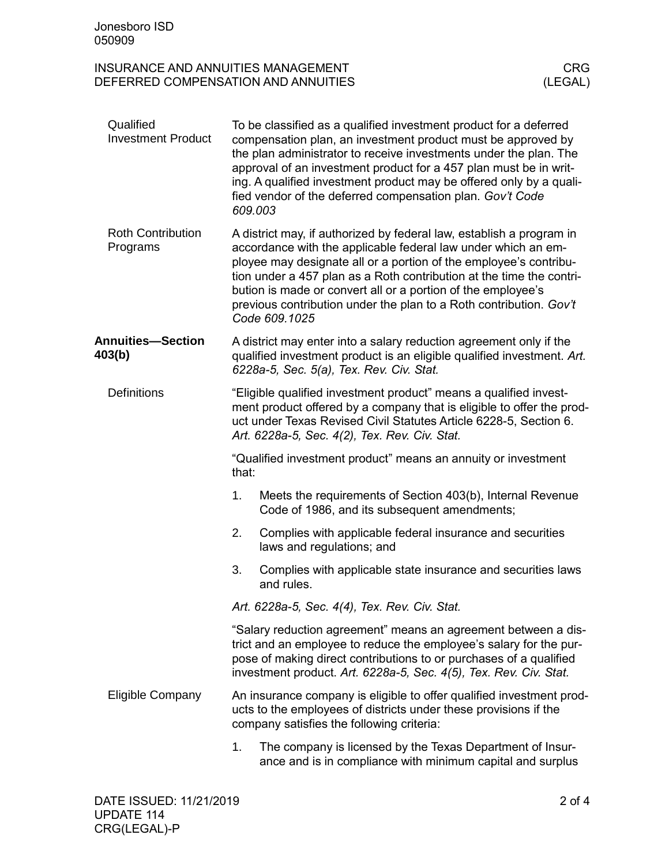| Qualified<br><b>Investment Product</b> |                                                                                                                                                                                                                                                                                 | To be classified as a qualified investment product for a deferred<br>compensation plan, an investment product must be approved by<br>the plan administrator to receive investments under the plan. The<br>approval of an investment product for a 457 plan must be in writ-<br>ing. A qualified investment product may be offered only by a quali-<br>fied vendor of the deferred compensation plan. Gov't Code<br>609.003                |  |  |
|----------------------------------------|---------------------------------------------------------------------------------------------------------------------------------------------------------------------------------------------------------------------------------------------------------------------------------|-------------------------------------------------------------------------------------------------------------------------------------------------------------------------------------------------------------------------------------------------------------------------------------------------------------------------------------------------------------------------------------------------------------------------------------------|--|--|
| <b>Roth Contribution</b><br>Programs   |                                                                                                                                                                                                                                                                                 | A district may, if authorized by federal law, establish a program in<br>accordance with the applicable federal law under which an em-<br>ployee may designate all or a portion of the employee's contribu-<br>tion under a 457 plan as a Roth contribution at the time the contri-<br>bution is made or convert all or a portion of the employee's<br>previous contribution under the plan to a Roth contribution. Gov't<br>Code 609.1025 |  |  |
| <b>Annuities-Section</b><br>403(b)     | A district may enter into a salary reduction agreement only if the<br>qualified investment product is an eligible qualified investment. Art.<br>6228a-5, Sec. 5(a), Tex. Rev. Civ. Stat.                                                                                        |                                                                                                                                                                                                                                                                                                                                                                                                                                           |  |  |
| <b>Definitions</b>                     | "Eligible qualified investment product" means a qualified invest-<br>ment product offered by a company that is eligible to offer the prod-<br>uct under Texas Revised Civil Statutes Article 6228-5, Section 6.<br>Art. 6228a-5, Sec. 4(2), Tex. Rev. Civ. Stat.                |                                                                                                                                                                                                                                                                                                                                                                                                                                           |  |  |
|                                        | "Qualified investment product" means an annuity or investment<br>that:                                                                                                                                                                                                          |                                                                                                                                                                                                                                                                                                                                                                                                                                           |  |  |
|                                        | 1.                                                                                                                                                                                                                                                                              | Meets the requirements of Section 403(b), Internal Revenue<br>Code of 1986, and its subsequent amendments;                                                                                                                                                                                                                                                                                                                                |  |  |
|                                        | 2.                                                                                                                                                                                                                                                                              | Complies with applicable federal insurance and securities<br>laws and regulations; and                                                                                                                                                                                                                                                                                                                                                    |  |  |
|                                        | 3.                                                                                                                                                                                                                                                                              | Complies with applicable state insurance and securities laws<br>and rules.                                                                                                                                                                                                                                                                                                                                                                |  |  |
|                                        | Art. 6228a-5, Sec. 4(4), Tex. Rev. Civ. Stat.                                                                                                                                                                                                                                   |                                                                                                                                                                                                                                                                                                                                                                                                                                           |  |  |
|                                        | "Salary reduction agreement" means an agreement between a dis-<br>trict and an employee to reduce the employee's salary for the pur-<br>pose of making direct contributions to or purchases of a qualified<br>investment product. Art. 6228a-5, Sec. 4(5), Tex. Rev. Civ. Stat. |                                                                                                                                                                                                                                                                                                                                                                                                                                           |  |  |
| <b>Eligible Company</b>                | An insurance company is eligible to offer qualified investment prod-<br>ucts to the employees of districts under these provisions if the<br>company satisfies the following criteria:                                                                                           |                                                                                                                                                                                                                                                                                                                                                                                                                                           |  |  |
|                                        | 1.                                                                                                                                                                                                                                                                              | The company is licensed by the Texas Department of Insur-<br>ance and is in compliance with minimum capital and surplus                                                                                                                                                                                                                                                                                                                   |  |  |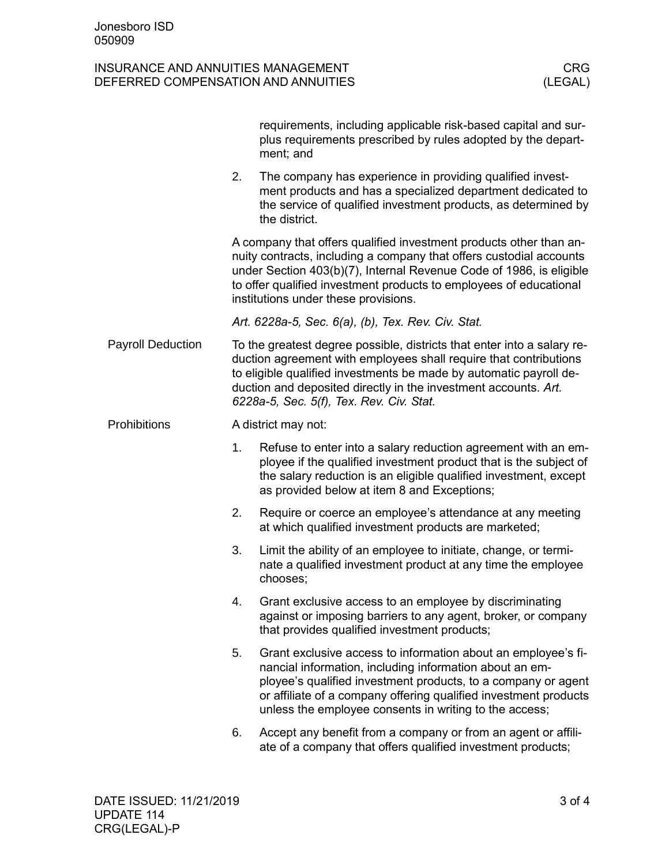|                          |                                                                                                                                                                                                                                                                                                                                | requirements, including applicable risk-based capital and sur-<br>plus requirements prescribed by rules adopted by the depart-<br>ment; and                                                                                                                                                                                       |  |  |  |
|--------------------------|--------------------------------------------------------------------------------------------------------------------------------------------------------------------------------------------------------------------------------------------------------------------------------------------------------------------------------|-----------------------------------------------------------------------------------------------------------------------------------------------------------------------------------------------------------------------------------------------------------------------------------------------------------------------------------|--|--|--|
|                          | 2.                                                                                                                                                                                                                                                                                                                             | The company has experience in providing qualified invest-<br>ment products and has a specialized department dedicated to<br>the service of qualified investment products, as determined by<br>the district.                                                                                                                       |  |  |  |
|                          | A company that offers qualified investment products other than an-<br>nuity contracts, including a company that offers custodial accounts<br>under Section 403(b)(7), Internal Revenue Code of 1986, is eligible<br>to offer qualified investment products to employees of educational<br>institutions under these provisions. |                                                                                                                                                                                                                                                                                                                                   |  |  |  |
|                          | Art. 6228a-5, Sec. 6(a), (b), Tex. Rev. Civ. Stat.                                                                                                                                                                                                                                                                             |                                                                                                                                                                                                                                                                                                                                   |  |  |  |
| <b>Payroll Deduction</b> |                                                                                                                                                                                                                                                                                                                                | To the greatest degree possible, districts that enter into a salary re-<br>duction agreement with employees shall require that contributions<br>to eligible qualified investments be made by automatic payroll de-<br>duction and deposited directly in the investment accounts. Art.<br>6228a-5, Sec. 5(f), Tex. Rev. Civ. Stat. |  |  |  |
| Prohibitions             |                                                                                                                                                                                                                                                                                                                                | A district may not:                                                                                                                                                                                                                                                                                                               |  |  |  |
|                          | 1.                                                                                                                                                                                                                                                                                                                             | Refuse to enter into a salary reduction agreement with an em-<br>ployee if the qualified investment product that is the subject of<br>the salary reduction is an eligible qualified investment, except<br>as provided below at item 8 and Exceptions;                                                                             |  |  |  |
|                          | 2.                                                                                                                                                                                                                                                                                                                             | Require or coerce an employee's attendance at any meeting<br>at which qualified investment products are marketed;                                                                                                                                                                                                                 |  |  |  |
|                          | 3.                                                                                                                                                                                                                                                                                                                             | Limit the ability of an employee to initiate, change, or termi-<br>nate a qualified investment product at any time the employee<br>chooses;                                                                                                                                                                                       |  |  |  |
|                          | 4.                                                                                                                                                                                                                                                                                                                             | Grant exclusive access to an employee by discriminating<br>against or imposing barriers to any agent, broker, or company<br>that provides qualified investment products;                                                                                                                                                          |  |  |  |
|                          | 5.                                                                                                                                                                                                                                                                                                                             | Grant exclusive access to information about an employee's fi-<br>nancial information, including information about an em-<br>ployee's qualified investment products, to a company or agent<br>or affiliate of a company offering qualified investment products<br>unless the employee consents in writing to the access;           |  |  |  |
|                          | 6.                                                                                                                                                                                                                                                                                                                             | Accept any benefit from a company or from an agent or affili-<br>ate of a company that offers qualified investment products;                                                                                                                                                                                                      |  |  |  |